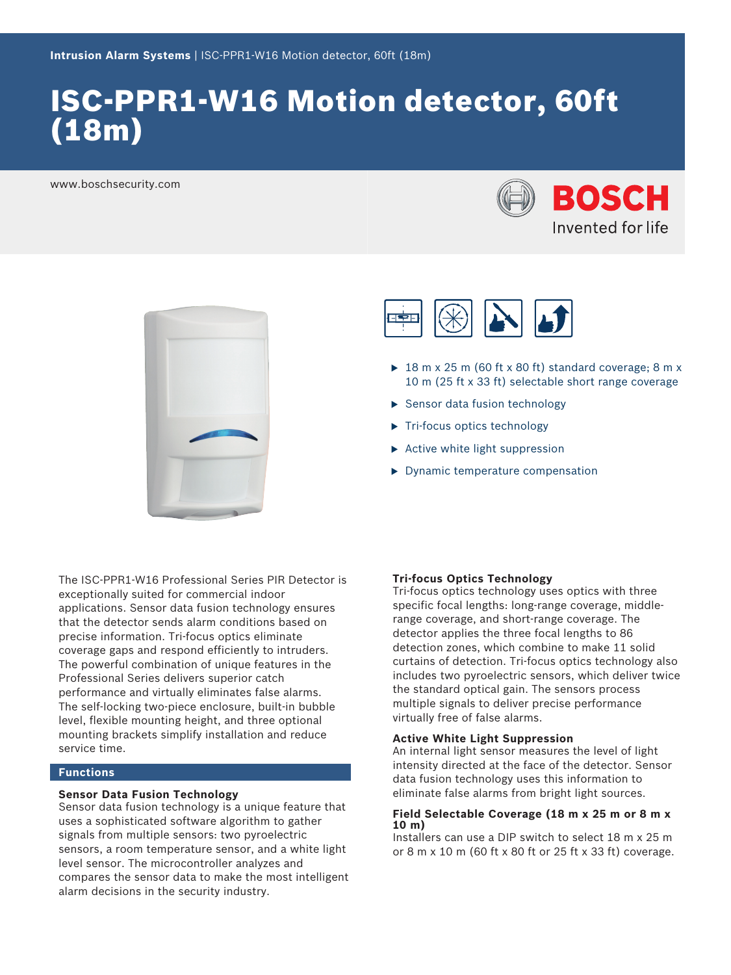# ISC-PPR1-W16 Motion detector, 60ft (18m)

www.boschsecurity.com







- $\triangleright$  18 m x 25 m (60 ft x 80 ft) standard coverage; 8 m x 10 m (25 ft x 33 ft) selectable short range coverage
- $\blacktriangleright$  Sensor data fusion technology
- $\blacktriangleright$  Tri-focus optics technology
- $\triangleright$  Active white light suppression
- $\blacktriangleright$  Dynamic temperature compensation

The ISC-PPR1-W16 Professional Series PIR Detector is exceptionally suited for commercial indoor applications. Sensor data fusion technology ensures that the detector sends alarm conditions based on precise information. Tri-focus optics eliminate coverage gaps and respond efficiently to intruders. The powerful combination of unique features in the Professional Series delivers superior catch performance and virtually eliminates false alarms. The self-locking two-piece enclosure, built-in bubble level, flexible mounting height, and three optional mounting brackets simplify installation and reduce service time.

### **Functions**

#### **Sensor Data Fusion Technology**

Sensor data fusion technology is a unique feature that uses a sophisticated software algorithm to gather signals from multiple sensors: two pyroelectric sensors, a room temperature sensor, and a white light level sensor. The microcontroller analyzes and compares the sensor data to make the most intelligent alarm decisions in the security industry.

#### **Tri-focus Optics Technology**

Tri-focus optics technology uses optics with three specific focal lengths: long-range coverage, middlerange coverage, and short-range coverage. The detector applies the three focal lengths to 86 detection zones, which combine to make 11 solid curtains of detection. Tri-focus optics technology also includes two pyroelectric sensors, which deliver twice the standard optical gain. The sensors process multiple signals to deliver precise performance virtually free of false alarms.

#### **Active White Light Suppression**

An internal light sensor measures the level of light intensity directed at the face of the detector. Sensor data fusion technology uses this information to eliminate false alarms from bright light sources.

#### **Field Selectable Coverage (18 m x 25 m or 8 m x 10 m)**

Installers can use a DIP switch to select 18 m x 25 m or 8 m x 10 m (60 ft x 80 ft or 25 ft x 33 ft) coverage.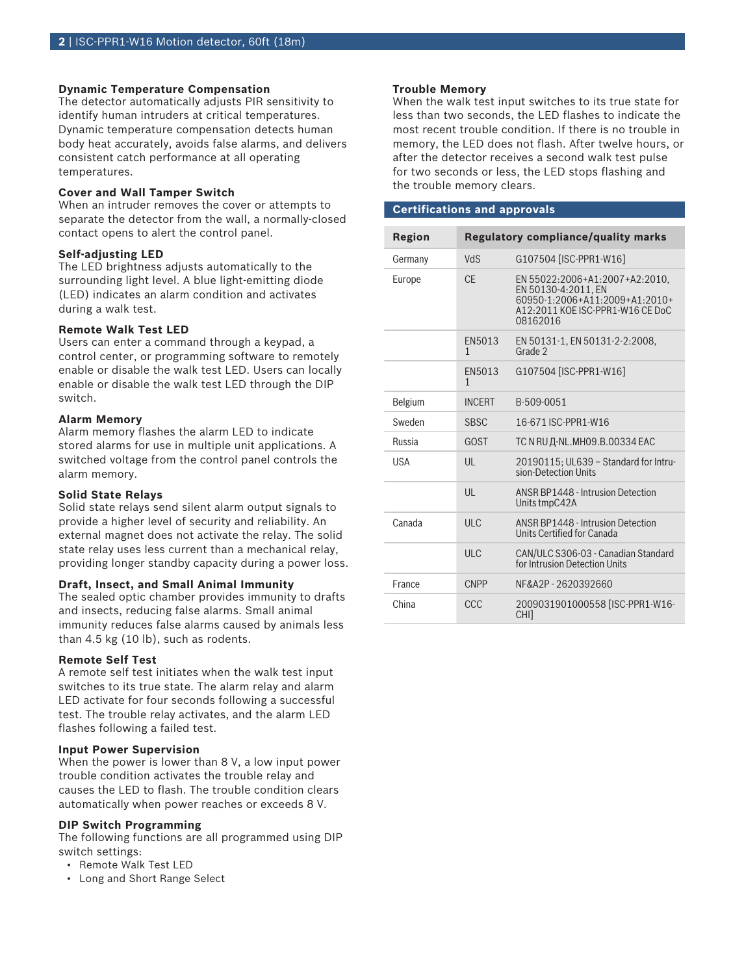#### **Dynamic Temperature Compensation**

The detector automatically adjusts PIR sensitivity to identify human intruders at critical temperatures. Dynamic temperature compensation detects human body heat accurately, avoids false alarms, and delivers consistent catch performance at all operating temperatures.

#### **Cover and Wall Tamper Switch**

When an intruder removes the cover or attempts to separate the detector from the wall, a normally-closed contact opens to alert the control panel.

#### **Self-adjusting LED**

The LED brightness adjusts automatically to the surrounding light level. A blue light-emitting diode (LED) indicates an alarm condition and activates during a walk test.

#### **Remote Walk Test LED**

Users can enter a command through a keypad, a control center, or programming software to remotely enable or disable the walk test LED. Users can locally enable or disable the walk test LED through the DIP switch.

#### **Alarm Memory**

Alarm memory flashes the alarm LED to indicate stored alarms for use in multiple unit applications. A switched voltage from the control panel controls the alarm memory.

#### **Solid State Relays**

Solid state relays send silent alarm output signals to provide a higher level of security and reliability. An external magnet does not activate the relay. The solid state relay uses less current than a mechanical relay, providing longer standby capacity during a power loss.

#### **Draft, Insect, and Small Animal Immunity**

The sealed optic chamber provides immunity to drafts and insects, reducing false alarms. Small animal immunity reduces false alarms caused by animals less than 4.5 kg (10 lb), such as rodents.

#### **Remote Self Test**

A remote self test initiates when the walk test input switches to its true state. The alarm relay and alarm LED activate for four seconds following a successful test. The trouble relay activates, and the alarm LED flashes following a failed test.

#### **Input Power Supervision**

When the power is lower than 8 V, a low input power trouble condition activates the trouble relay and causes the LED to flash. The trouble condition clears automatically when power reaches or exceeds 8 V.

#### **DIP Switch Programming**

The following functions are all programmed using DIP switch settings:

- Remote Walk Test LED
- Long and Short Range Select

#### **Trouble Memory**

When the walk test input switches to its true state for less than two seconds, the LED flashes to indicate the most recent trouble condition. If there is no trouble in memory, the LED does not flash. After twelve hours, or after the detector receives a second walk test pulse for two seconds or less, the LED stops flashing and the trouble memory clears.

#### **Certifications and approvals**

| Region     |                        | <b>Regulatory compliance/quality marks</b>                                                                                              |
|------------|------------------------|-----------------------------------------------------------------------------------------------------------------------------------------|
| Germany    | <b>VdS</b>             | G107504 [ISC-PPR1-W16]                                                                                                                  |
| Europe     | <b>CF</b>              | EN 55022:2006+A1:2007+A2:2010.<br>EN 50130-4:2011. EN<br>60950-1:2006+A11:2009+A1:2010+<br>A12:2011 KOE ISC-PPR1-W16 CE DoC<br>08162016 |
|            | EN5013<br>$\mathbf{1}$ | EN 50131-1, EN 50131-2-2:2008,<br>Grade 2                                                                                               |
|            | EN5013<br>$\mathbf{1}$ | G107504 [ISC-PPR1-W16]                                                                                                                  |
| Belgium    | <b>INCERT</b>          | B-509-0051                                                                                                                              |
| Sweden     | <b>SBSC</b>            | 16-671 ISC-PPR1-W16                                                                                                                     |
| Russia     | GOST                   | ТС N RU Д-NL. МН09. В. 00334 ЕАС                                                                                                        |
| <b>USA</b> | UL                     | 20190115; UL639 - Standard for Intru-<br>sion-Detection Units                                                                           |
|            | $\mathsf{U}$           | <b>ANSR BP1448 - Intrusion Detection</b><br>Units tmpC42A                                                                               |
| Canada     | ULC                    | <b>ANSR BP1448 - Intrusion Detection</b><br>Units Certified for Canada                                                                  |
|            | ULC                    | CAN/ULC S306-03 - Canadian Standard<br>for Intrusion Detection Units                                                                    |
| France     | <b>CNPP</b>            | NF&A2P-2620392660                                                                                                                       |
| China      | CCC                    | 2009031901000558 [ISC-PPR1-W16-<br>CHI]                                                                                                 |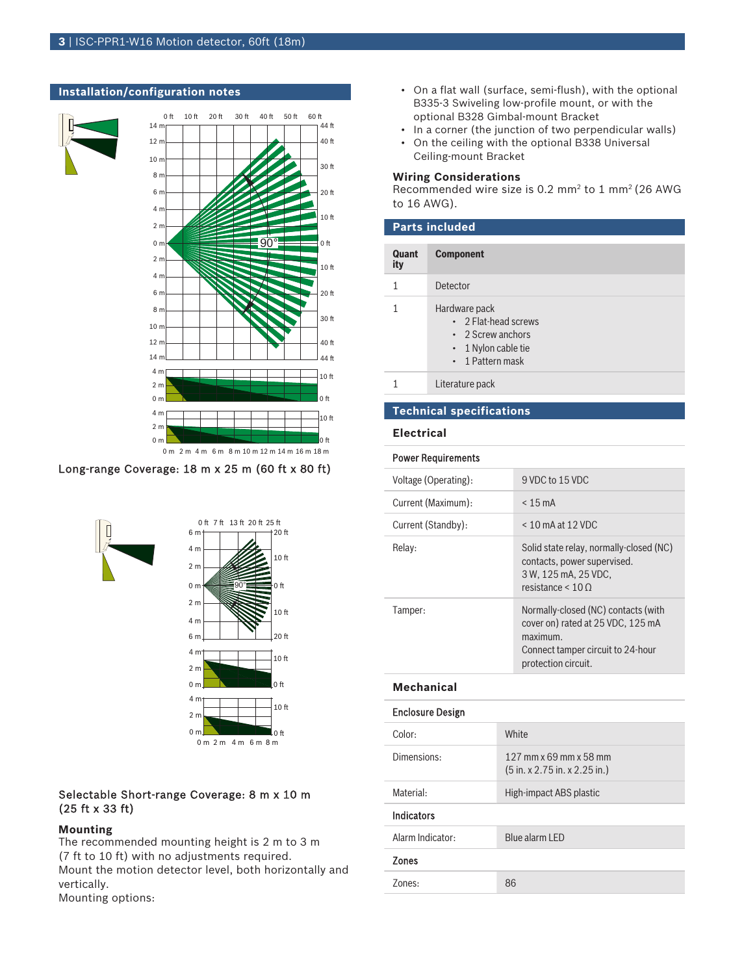

#### **Installation/configuration notes**

#### Long-range Coverage: 18 m x 25 m (60 ft x 80 ft)



## Selectable Short-range Coverage: 8 m x 10 m (25 ft x 33 ft)

#### **Mounting**

The recommended mounting height is 2 m to 3 m (7 ft to 10 ft) with no adjustments required. Mount the motion detector level, both horizontally and vertically.

Mounting options:

- On a flat wall (surface, semi-flush), with the optional B335-3 Swiveling low-profile mount, or with the optional B328 Gimbal-mount Bracket
- In a corner (the junction of two perpendicular walls)
- On the ceiling with the optional B338 Universal Ceiling-mount Bracket

#### **Wiring Considerations**

Recommended wire size is  $0.2 \text{ mm}^2$  to  $1 \text{ mm}^2$  (26 AWG to 16 AWG).

| <b>Parts included</b> |                                                                                                     |  |
|-----------------------|-----------------------------------------------------------------------------------------------------|--|
| Quant<br>ity          | <b>Component</b>                                                                                    |  |
|                       | Detector                                                                                            |  |
|                       | Hardware pack<br>• 2 Flat-head screws<br>• 2 Screw anchors<br>1 Nylon cable tie<br>• 1 Pattern mask |  |
|                       | Literature pack                                                                                     |  |

### **Technical specifications**

#### **Electrical**

#### Power Requirements

| Voltage (Operating): | 9 VDC to 15 VDC                                                                                                                                     |
|----------------------|-----------------------------------------------------------------------------------------------------------------------------------------------------|
| Current (Maximum):   | $< 15 \text{ mA}$                                                                                                                                   |
| Current (Standby):   | $< 10$ mA at 12 VDC                                                                                                                                 |
| Relay:               | Solid state relay, normally-closed (NC)<br>contacts, power supervised.<br>3 W, 125 mA, 25 VDC,<br>resistance $\leq 10$ Q                            |
| Tamper:              | Normally-closed (NC) contacts (with<br>cover on) rated at 25 VDC, 125 mA<br>$maximum$ .<br>Connect tamper circuit to 24-hour<br>protection circuit. |

#### **Mechanical**

| <b>Enclosure Design</b> |                                                                                     |
|-------------------------|-------------------------------------------------------------------------------------|
| Color:                  | White                                                                               |
| Dimensions:             | 127 mm x 69 mm x 58 mm<br>$(5 \text{ in. x } 2.75 \text{ in. x } 2.25 \text{ in.})$ |
| Material:               | High-impact ABS plastic                                                             |
| <b>Indicators</b>       |                                                                                     |
| Alarm Indicator:        | Blue alarm LED                                                                      |
| <b>Zones</b>            |                                                                                     |
| Zones:                  | 86                                                                                  |